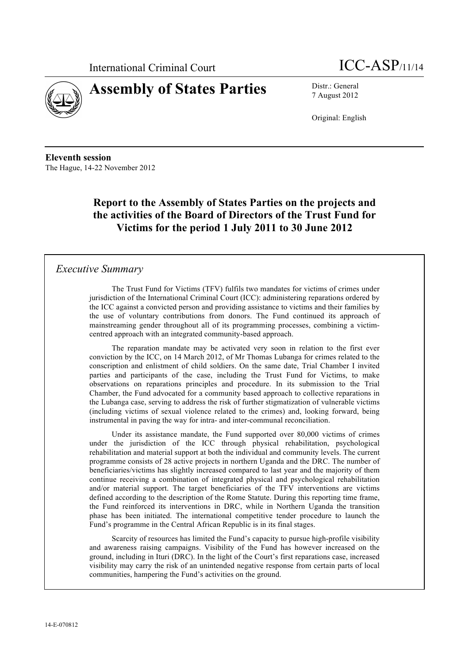



7 August 2012

Original: English

**Eleventh session** The Hague, 14-22 November 2012

# **Report to the Assembly of States Parties on the projects and the activities of the Board of Directors of the Trust Fund for Victims for the period 1 July 2011 to 30 June 2012**

## *Executive Summary*

The Trust Fund for Victims (TFV) fulfils two mandates for victims of crimes under jurisdiction of the International Criminal Court (ICC): administering reparations ordered by the ICC against a convicted person and providing assistance to victims and their families by the use of voluntary contributions from donors. The Fund continued its approach of mainstreaming gender throughout all of its programming processes, combining a victimcentred approach with an integrated community-based approach.

The reparation mandate may be activated very soon in relation to the first ever conviction by the ICC, on 14 March 2012, of Mr Thomas Lubanga for crimes related to the conscription and enlistment of child soldiers. On the same date, Trial Chamber I invited parties and participants of the case, including the Trust Fund for Victims, to make observations on reparations principles and procedure. In its submission to the Trial Chamber, the Fund advocated for a community based approach to collective reparations in the Lubanga case, serving to address the risk of further stigmatization of vulnerable victims (including victims of sexual violence related to the crimes) and, looking forward, being instrumental in paving the way for intra- and inter-communal reconciliation.

Under its assistance mandate, the Fund supported over 80,000 victims of crimes under the jurisdiction of the ICC through physical rehabilitation, psychological rehabilitation and material support at both the individual and community levels. The current programme consists of 28 active projects in northern Uganda and the DRC. The number of beneficiaries/victims has slightly increased compared to last year and the majority of them continue receiving a combination of integrated physical and psychological rehabilitation and/or material support. The target beneficiaries of the TFV interventions are victims defined according to the description of the Rome Statute. During this reporting time frame, the Fund reinforced its interventions in DRC, while in Northern Uganda the transition phase has been initiated. The international competitive tender procedure to launch the Fund's programme in the Central African Republic is in its final stages.

Scarcity of resources has limited the Fund's capacity to pursue high-profile visibility and awareness raising campaigns. Visibility of the Fund has however increased on the ground, including in Ituri (DRC). In the light of the Court's first reparations case, increased visibility may carry the risk of an unintended negative response from certain parts of local communities, hampering the Fund's activities on the ground.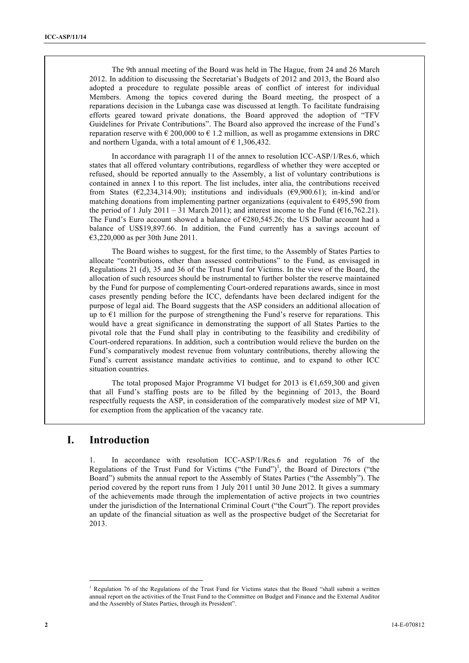The 9th annual meeting of the Board was held in The Hague, from 24 and 26 March 2012. In addition to discussing the Secretariat's Budgets of 2012 and 2013, the Board also adopted a procedure to regulate possible areas of conflict of interest for individual Members. Among the topics covered during the Board meeting, the prospect of a reparations decision in the Lubanga case was discussed at length. To facilitate fundraising efforts geared toward private donations, the Board approved the adoption of "TFV Guidelines for Private Contributions". The Board also approved the increase of the Fund's reparation reserve with  $\epsilon$  200,000 to  $\epsilon$  1.2 million, as well as progamme extensions in DRC and northern Uganda, with a total amount of  $\epsilon$  1,306,432.

In accordance with paragraph 11 of the annex to resolution ICC-ASP/1/Res.6, which states that all offered voluntary contributions, regardless of whether they were accepted or refused, should be reported annually to the Assembly, a list of voluntary contributions is contained in annex I to this report. The list includes, inter alia, the contributions received from States ( $\epsilon$ 2,234,314.90); institutions and individuals ( $\epsilon$ 9,900.61); in-kind and/or matching donations from implementing partner organizations (equivalent to  $\epsilon$ 495,590 from the period of 1 July 2011 – 31 March 2011); and interest income to the Fund ( $\epsilon$ 16,762.21). The Fund's Euro account showed a balance of €280,545.26; the US Dollar account had a balance of US\$19,897.66. In addition, the Fund currently has a savings account of €3,220,000 as per 30th June 2011.

The Board wishes to suggest, for the first time, to the Assembly of States Parties to allocate "contributions, other than assessed contributions" to the Fund, as envisaged in Regulations 21 (d), 35 and 36 of the Trust Fund for Victims. In the view of the Board, the allocation of such resources should be instrumental to further bolster the reserve maintained by the Fund for purpose of complementing Court-ordered reparations awards, since in most cases presently pending before the ICC, defendants have been declared indigent for the purpose of legal aid. The Board suggests that the ASP considers an additional allocation of up to  $E1$  million for the purpose of strengthening the Fund's reserve for reparations. This would have a great significance in demonstrating the support of all States Parties to the pivotal role that the Fund shall play in contributing to the feasibility and credibility of Court-ordered reparations. In addition, such a contribution would relieve the burden on the Fund's comparatively modest revenue from voluntary contributions, thereby allowing the Fund's current assistance mandate activities to continue, and to expand to other ICC situation countries.

The total proposed Major Programme VI budget for 2013 is  $\epsilon$ 1,659,300 and given that all Fund's staffing posts are to be filled by the beginning of 2013, the Board respectfully requests the ASP, in consideration of the comparatively modest size of MP VI, for exemption from the application of the vacancy rate.

## **I. Introduction**

1. In accordance with resolution ICC-ASP/1/Res.6 and regulation 76 of the Regulations of the Trust Fund for Victims ("the Fund")<sup>1</sup>, the Board of Directors ("the Board") submits the annual report to the Assembly of States Parties ("the Assembly"). The period covered by the report runs from 1 July 2011 until 30 June 2012. It gives a summary of the achievements made through the implementation of active projects in two countries under the jurisdiction of the International Criminal Court ("the Court"). The report provides an update of the financial situation as well as the prospective budget of the Secretariat for 2013.

 $\frac{1}{1}$ <sup>1</sup> Regulation 76 of the Regulations of the Trust Fund for Victims states that the Board "shall submit a written annual report on the activities of the Trust Fund to the Committee on Budget and Finance and the External Auditor and the Assembly of States Parties, through its President".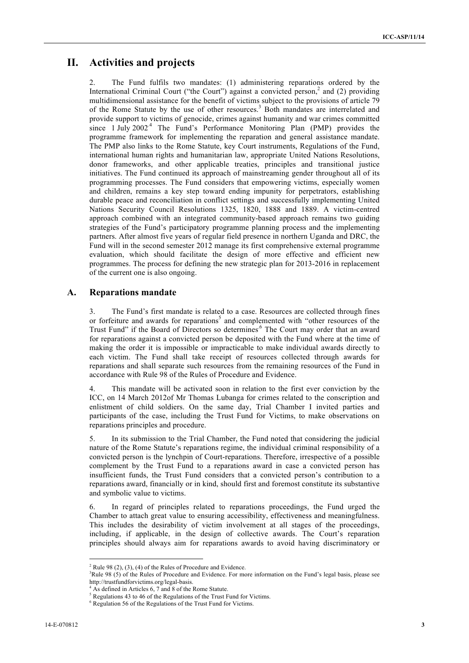# **II. Activities and projects**

2. The Fund fulfils two mandates: (1) administering reparations ordered by the International Criminal Court ("the Court") against a convicted person,<sup>2</sup> and (2) providing multidimensional assistance for the benefit of victims subject to the provisions of article 79 of the Rome Statute by the use of other resources.<sup>3</sup> Both mandates are interrelated and provide support to victims of genocide, crimes against humanity and war crimes committed since  $1 \text{ July } 2002^4$  The Fund's Performance Monitoring Plan (PMP) provides the programme framework for implementing the reparation and general assistance mandate. The PMP also links to the Rome Statute, key Court instruments, Regulations of the Fund, international human rights and humanitarian law, appropriate United Nations Resolutions, donor frameworks, and other applicable treaties, principles and transitional justice initiatives. The Fund continued its approach of mainstreaming gender throughout all of its programming processes. The Fund considers that empowering victims, especially women and children, remains a key step toward ending impunity for perpetrators, establishing durable peace and reconciliation in conflict settings and successfully implementing United Nations Security Council Resolutions 1325, 1820, 1888 and 1889. A victim-centred approach combined with an integrated community-based approach remains two guiding strategies of the Fund's participatory programme planning process and the implementing partners. After almost five years of regular field presence in northern Uganda and DRC, the Fund will in the second semester 2012 manage its first comprehensive external programme evaluation, which should facilitate the design of more effective and efficient new programmes. The process for defining the new strategic plan for 2013-2016 in replacement of the current one is also ongoing.

## **A. Reparations mandate**

3. The Fund's first mandate is related to a case. Resources are collected through fines or forfeiture and awards for reparations<sup>5</sup> and complemented with "other resources of the Trust Fund" if the Board of Directors so determines<sup>6</sup> The Court may order that an award for reparations against a convicted person be deposited with the Fund where at the time of making the order it is impossible or impracticable to make individual awards directly to each victim. The Fund shall take receipt of resources collected through awards for reparations and shall separate such resources from the remaining resources of the Fund in accordance with Rule 98 of the Rules of Procedure and Evidence.

4. This mandate will be activated soon in relation to the first ever conviction by the ICC, on 14 March 2012of Mr Thomas Lubanga for crimes related to the conscription and enlistment of child soldiers. On the same day, Trial Chamber I invited parties and participants of the case, including the Trust Fund for Victims, to make observations on reparations principles and procedure.

5. In its submission to the Trial Chamber, the Fund noted that considering the judicial nature of the Rome Statute's reparations regime, the individual criminal responsibility of a convicted person is the lynchpin of Court-reparations. Therefore, irrespective of a possible complement by the Trust Fund to a reparations award in case a convicted person has insufficient funds, the Trust Fund considers that a convicted person's contribution to a reparations award, financially or in kind, should first and foremost constitute its substantive and symbolic value to victims.

6. In regard of principles related to reparations proceedings, the Fund urged the Chamber to attach great value to ensuring accessibility, effectiveness and meaningfulness. This includes the desirability of victim involvement at all stages of the proceedings, including, if applicable, in the design of collective awards. The Court's reparation principles should always aim for reparations awards to avoid having discriminatory or

 $2$  Rule 98 (2), (3), (4) of the Rules of Procedure and Evidence.

<sup>&</sup>lt;sup>3</sup>Rule 98 (5) of the Rules of Procedure and Evidence. For more information on the Fund's legal basis, please see http://trustfundforvictims.org/legal-basis.

<sup>4</sup> As defined in Articles 6, 7 and 8 of the Rome Statute.

<sup>&</sup>lt;sup>5</sup> Regulations 43 to 46 of the Regulations of the Trust Fund for Victims.

<sup>&</sup>lt;sup>6</sup> Regulation 56 of the Regulations of the Trust Fund for Victims.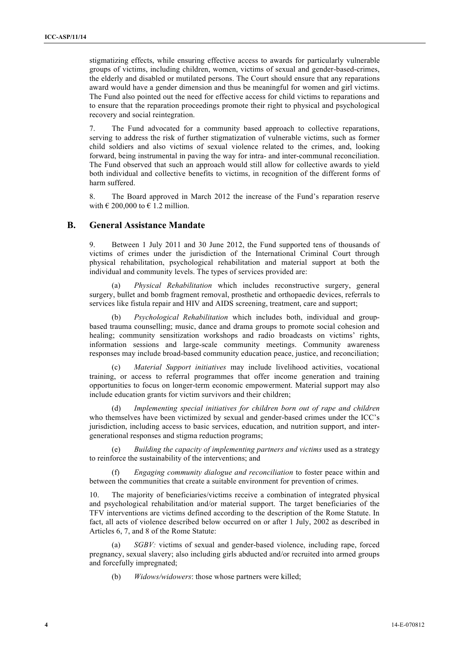stigmatizing effects, while ensuring effective access to awards for particularly vulnerable groups of victims, including children, women, victims of sexual and gender-based-crimes, the elderly and disabled or mutilated persons. The Court should ensure that any reparations award would have a gender dimension and thus be meaningful for women and girl victims. The Fund also pointed out the need for effective access for child victims to reparations and to ensure that the reparation proceedings promote their right to physical and psychological recovery and social reintegration.

7. The Fund advocated for a community based approach to collective reparations, serving to address the risk of further stigmatization of vulnerable victims, such as former child soldiers and also victims of sexual violence related to the crimes, and, looking forward, being instrumental in paving the way for intra- and inter-communal reconciliation. The Fund observed that such an approach would still allow for collective awards to yield both individual and collective benefits to victims, in recognition of the different forms of harm suffered.

8. The Board approved in March 2012 the increase of the Fund's reparation reserve with  $\in$  200,000 to  $\in$  1.2 million.

### **B. General Assistance Mandate**

9. Between 1 July 2011 and 30 June 2012, the Fund supported tens of thousands of victims of crimes under the jurisdiction of the International Criminal Court through physical rehabilitation, psychological rehabilitation and material support at both the individual and community levels. The types of services provided are:

(a) *Physical Rehabilitation* which includes reconstructive surgery, general surgery, bullet and bomb fragment removal, prosthetic and orthopaedic devices, referrals to services like fistula repair and HIV and AIDS screening, treatment, care and support;

(b) *Psychological Rehabilitation* which includes both, individual and groupbased trauma counselling; music, dance and drama groups to promote social cohesion and healing; community sensitization workshops and radio broadcasts on victims' rights, information sessions and large-scale community meetings. Community awareness responses may include broad-based community education peace, justice, and reconciliation;

(c) *Material Support initiatives* may include livelihood activities, vocational training, or access to referral programmes that offer income generation and training opportunities to focus on longer-term economic empowerment. Material support may also include education grants for victim survivors and their children;

(d) *Implementing special initiatives for children born out of rape and children* who themselves have been victimized by sexual and gender-based crimes under the ICC's jurisdiction, including access to basic services, education, and nutrition support, and intergenerational responses and stigma reduction programs;

(e) *Building the capacity of implementing partners and victims* used as a strategy to reinforce the sustainability of the interventions; and

(f) *Engaging community dialogue and reconciliation* to foster peace within and between the communities that create a suitable environment for prevention of crimes.

The majority of beneficiaries/victims receive a combination of integrated physical and psychological rehabilitation and/or material support. The target beneficiaries of the TFV interventions are victims defined according to the description of the Rome Statute. In fact, all acts of violence described below occurred on or after 1 July, 2002 as described in Articles 6, 7, and 8 of the Rome Statute:

*SGBV:* victims of sexual and gender-based violence, including rape, forced pregnancy, sexual slavery; also including girls abducted and/or recruited into armed groups and forcefully impregnated;

(b) *Widows/widowers*: those whose partners were killed;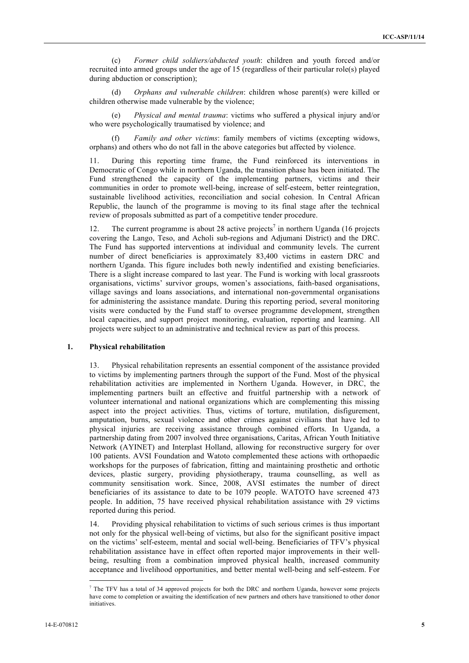(c) *Former child soldiers/abducted youth*: children and youth forced and/or recruited into armed groups under the age of 15 (regardless of their particular role(s) played during abduction or conscription);

(d) *Orphans and vulnerable children*: children whose parent(s) were killed or children otherwise made vulnerable by the violence;

(e) *Physical and mental trauma*: victims who suffered a physical injury and/or who were psychologically traumatised by violence; and

(f) *Family and other victims*: family members of victims (excepting widows, orphans) and others who do not fall in the above categories but affected by violence.

11. During this reporting time frame, the Fund reinforced its interventions in Democratic of Congo while in northern Uganda, the transition phase has been initiated. The Fund strengthened the capacity of the implementing partners, victims and their communities in order to promote well-being, increase of self-esteem, better reintegration, sustainable livelihood activities, reconciliation and social cohesion. In Central African Republic, the launch of the programme is moving to its final stage after the technical review of proposals submitted as part of a competitive tender procedure.

12. The current programme is about 28 active projects<sup>7</sup> in northern Uganda (16 projects) covering the Lango, Teso, and Acholi sub-regions and Adjumani District) and the DRC. The Fund has supported interventions at individual and community levels. The current number of direct beneficiaries is approximately 83,400 victims in eastern DRC and northern Uganda. This figure includes both newly indentified and existing beneficiaries. There is a slight increase compared to last year. The Fund is working with local grassroots organisations, victims' survivor groups, women's associations, faith-based organisations, village savings and loans associations, and international non-governmental organisations for administering the assistance mandate. During this reporting period, several monitoring visits were conducted by the Fund staff to oversee programme development, strengthen local capacities, and support project monitoring, evaluation, reporting and learning. All projects were subject to an administrative and technical review as part of this process.

#### **1. Physical rehabilitation**

13. Physical rehabilitation represents an essential component of the assistance provided to victims by implementing partners through the support of the Fund. Most of the physical rehabilitation activities are implemented in Northern Uganda. However, in DRC, the implementing partners built an effective and fruitful partnership with a network of volunteer international and national organizations which are complementing this missing aspect into the project activities. Thus, victims of torture, mutilation, disfigurement, amputation, burns, sexual violence and other crimes against civilians that have led to physical injuries are receiving assistance through combined efforts. In Uganda, a partnership dating from 2007 involved three organisations, Caritas, African Youth Initiative Network (AYINET) and Interplast Holland, allowing for reconstructive surgery for over 100 patients. AVSI Foundation and Watoto complemented these actions with orthopaedic workshops for the purposes of fabrication, fitting and maintaining prosthetic and orthotic devices, plastic surgery, providing physiotherapy, trauma counselling, as well as community sensitisation work. Since, 2008, AVSI estimates the number of direct beneficiaries of its assistance to date to be 1079 people. WATOTO have screened 473 people. In addition, 75 have received physical rehabilitation assistance with 29 victims reported during this period.

14. Providing physical rehabilitation to victims of such serious crimes is thus important not only for the physical well-being of victims, but also for the significant positive impact on the victims' self-esteem, mental and social well-being. Beneficiaries of TFV's physical rehabilitation assistance have in effect often reported major improvements in their wellbeing, resulting from a combination improved physical health, increased community acceptance and livelihood opportunities, and better mental well-being and self-esteem. For

<sup>-&</sup>lt;br>7  $\frac{7}{1}$  The TFV has a total of 34 approved projects for both the DRC and northern Uganda, however some projects have come to completion or awaiting the identification of new partners and others have transitioned to other donor initiatives.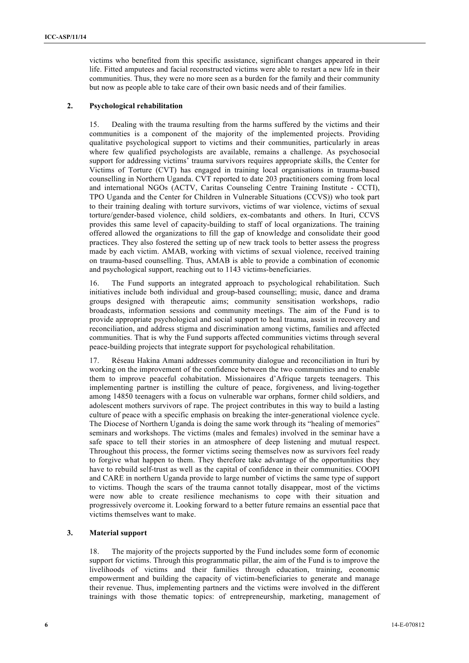victims who benefited from this specific assistance, significant changes appeared in their life. Fitted amputees and facial reconstructed victims were able to restart a new life in their communities. Thus, they were no more seen as a burden for the family and their community but now as people able to take care of their own basic needs and of their families.

#### **2. Psychological rehabilitation**

15. Dealing with the trauma resulting from the harms suffered by the victims and their communities is a component of the majority of the implemented projects. Providing qualitative psychological support to victims and their communities, particularly in areas where few qualified psychologists are available, remains a challenge. As psychosocial support for addressing victims' trauma survivors requires appropriate skills, the Center for Victims of Torture (CVT) has engaged in training local organisations in trauma-based counselling in Northern Uganda. CVT reported to date 203 practitioners coming from local and international NGOs (ACTV, Caritas Counseling Centre Training Institute - CCTI), TPO Uganda and the Center for Children in Vulnerable Situations (CCVS)) who took part to their training dealing with torture survivors, victims of war violence, victims of sexual torture/gender-based violence, child soldiers, ex-combatants and others. In Ituri, CCVS provides this same level of capacity-building to staff of local organizations. The training offered allowed the organizations to fill the gap of knowledge and consolidate their good practices. They also fostered the setting up of new track tools to better assess the progress made by each victim. AMAB, working with victims of sexual violence, received training on trauma-based counselling. Thus, AMAB is able to provide a combination of economic and psychological support, reaching out to 1143 victims-beneficiaries.

16. The Fund supports an integrated approach to psychological rehabilitation. Such initiatives include both individual and group-based counselling; music, dance and drama groups designed with therapeutic aims; community sensitisation workshops, radio broadcasts, information sessions and community meetings. The aim of the Fund is to provide appropriate psychological and social support to heal trauma, assist in recovery and reconciliation, and address stigma and discrimination among victims, families and affected communities. That is why the Fund supports affected communities victims through several peace-building projects that integrate support for psychological rehabilitation.

17. Réseau Hakina Amani addresses community dialogue and reconciliation in Ituri by working on the improvement of the confidence between the two communities and to enable them to improve peaceful cohabitation. Missionaires d'Afrique targets teenagers. This implementing partner is instilling the culture of peace, forgiveness, and living-together among 14850 teenagers with a focus on vulnerable war orphans, former child soldiers, and adolescent mothers survivors of rape. The project contributes in this way to build a lasting culture of peace with a specific emphasis on breaking the inter-generational violence cycle. The Diocese of Northern Uganda is doing the same work through its "healing of memories" seminars and workshops. The victims (males and females) involved in the seminar have a safe space to tell their stories in an atmosphere of deep listening and mutual respect. Throughout this process, the former victims seeing themselves now as survivors feel ready to forgive what happen to them. They therefore take advantage of the opportunities they have to rebuild self-trust as well as the capital of confidence in their communities. COOPI and CARE in northern Uganda provide to large number of victims the same type of support to victims. Though the scars of the trauma cannot totally disappear, most of the victims were now able to create resilience mechanisms to cope with their situation and progressively overcome it. Looking forward to a better future remains an essential pace that victims themselves want to make.

#### **3. Material support**

18. The majority of the projects supported by the Fund includes some form of economic support for victims. Through this programmatic pillar, the aim of the Fund is to improve the livelihoods of victims and their families through education, training, economic empowerment and building the capacity of victim-beneficiaries to generate and manage their revenue. Thus, implementing partners and the victims were involved in the different trainings with those thematic topics: of entrepreneurship, marketing, management of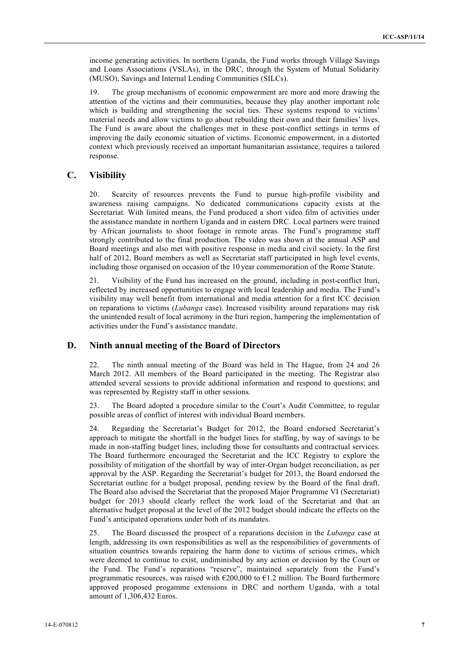income generating activities. In northern Uganda, the Fund works through Village Savings and Loans Associations (VSLAs), in the DRC, through the System of Mutual Solidarity (MUSO), Savings and Internal Lending Communities (SILCs).

19. The group mechanisms of economic empowerment are more and more drawing the attention of the victims and their communities, because they play another important role which is building and strengthening the social ties. These systems respond to victims' material needs and allow victims to go about rebuilding their own and their families' lives. The Fund is aware about the challenges met in these post-conflict settings in terms of improving the daily economic situation of victims. Economic empowerment, in a distorted context which previously received an important humanitarian assistance, requires a tailored response.

#### **C. Visibility**

20. Scarcity of resources prevents the Fund to pursue high-profile visibility and awareness raising campaigns. No dedicated communications capacity exists at the Secretariat. With limited means, the Fund produced a short video film of activities under the assistance mandate in northern Uganda and in eastern DRC. Local partners were trained by African journalists to shoot footage in remote areas. The Fund's programme staff strongly contributed to the final production. The video was shown at the annual ASP and Board meetings and also met with positive response in media and civil society. In the first half of 2012, Board members as well as Secretariat staff participated in high level events, including those organised on occasion of the 10 year commemoration of the Rome Statute.

21. Visibility of the Fund has increased on the ground, including in post-conflict Ituri, reflected by increased opportunities to engage with local leadership and media. The Fund's visibility may well benefit from international and media attention for a first ICC decision on reparations to victims (*Lubanga* case). Increased visibility around reparations may risk the unintended result of local acrimony in the Ituri region, hampering the implementation of activities under the Fund's assistance mandate.

#### **D. Ninth annual meeting of the Board of Directors**

The ninth annual meeting of the Board was held in The Hague, from 24 and 26 March 2012. All members of the Board participated in the meeting. The Registrar also attended several sessions to provide additional information and respond to questions; and was represented by Registry staff in other sessions.

23. The Board adopted a procedure similar to the Court's Audit Committee, to regular possible areas of conflict of interest with individual Board members.

24. Regarding the Secretariat's Budget for 2012, the Board endorsed Secretariat's approach to mitigate the shortfall in the budget lines for staffing, by way of savings to be made in non-staffing budget lines, including those for consultants and contractual services. The Board furthermore encouraged the Secretariat and the ICC Registry to explore the possibility of mitigation of the shortfall by way of inter-Organ budget reconciliation, as per approval by the ASP. Regarding the Secretariat's budget for 2013, the Board endorsed the Secretariat outline for a budget proposal, pending review by the Board of the final draft. The Board also advised the Secretariat that the proposed Major Programme VI (Secretariat) budget for 2013 should clearly reflect the work load of the Secretariat and that an alternative budget proposal at the level of the 2012 budget should indicate the effects on the Fund's anticipated operations under both of its mandates.

25. The Board discussed the prospect of a reparations decision in the *Lubanga* case at length, addressing its own responsibilities as well as the responsibilities of governments of situation countries towards repairing the harm done to victims of serious crimes, which were deemed to continue to exist, undiminished by any action or decision by the Court or the Fund. The Fund's reparations "reserve", maintained separately from the Fund's programmatic resources, was raised with  $\epsilon$ 200,000 to  $\epsilon$ 1.2 million. The Board furthermore approved proposed progamme extensions in DRC and northern Uganda, with a total amount of 1,306,432 Euros.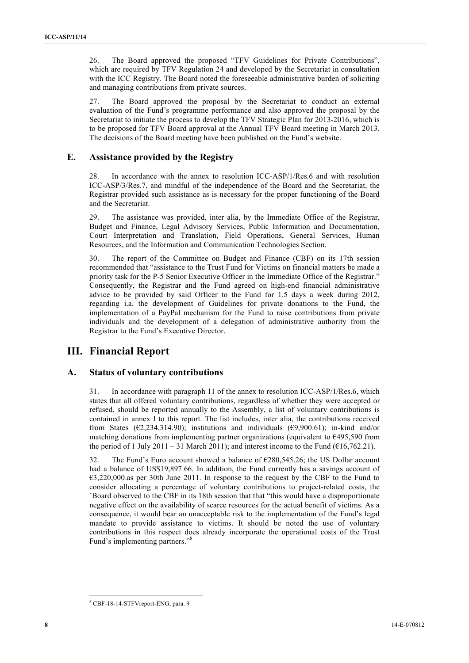26. The Board approved the proposed "TFV Guidelines for Private Contributions", which are required by TFV Regulation 24 and developed by the Secretariat in consultation with the ICC Registry. The Board noted the foreseeable administrative burden of soliciting and managing contributions from private sources.

27. The Board approved the proposal by the Secretariat to conduct an external evaluation of the Fund's programme performance and also approved the proposal by the Secretariat to initiate the process to develop the TFV Strategic Plan for 2013-2016, which is to be proposed for TFV Board approval at the Annual TFV Board meeting in March 2013. The decisions of the Board meeting have been published on the Fund's website.

### **E. Assistance provided by the Registry**

28. In accordance with the annex to resolution ICC-ASP/1/Res.6 and with resolution ICC-ASP/3/Res.7, and mindful of the independence of the Board and the Secretariat, the Registrar provided such assistance as is necessary for the proper functioning of the Board and the Secretariat.

29. The assistance was provided, inter alia, by the Immediate Office of the Registrar, Budget and Finance, Legal Advisory Services, Public Information and Documentation, Court Interpretation and Translation, Field Operations, General Services, Human Resources, and the Information and Communication Technologies Section.

30. The report of the Committee on Budget and Finance (CBF) on its 17th session recommended that "assistance to the Trust Fund for Victims on financial matters be made a priority task for the P-5 Senior Executive Officer in the Immediate Office of the Registrar." Consequently, the Registrar and the Fund agreed on high-end financial administrative advice to be provided by said Officer to the Fund for 1.5 days a week during 2012, regarding i.a. the development of Guidelines for private donations to the Fund, the implementation of a PayPal mechanism for the Fund to raise contributions from private individuals and the development of a delegation of administrative authority from the Registrar to the Fund's Executive Director.

## **III. Financial Report**

## **A. Status of voluntary contributions**

31. In accordance with paragraph 11 of the annex to resolution ICC-ASP/1/Res.6, which states that all offered voluntary contributions, regardless of whether they were accepted or refused, should be reported annually to the Assembly, a list of voluntary contributions is contained in annex I to this report. The list includes, inter alia, the contributions received from States ( $\epsilon$ 2,234,314.90); institutions and individuals ( $\epsilon$ 9,900.61); in-kind and/or matching donations from implementing partner organizations (equivalent to  $\epsilon$ 495,590 from the period of 1 July 2011 – 31 March 2011); and interest income to the Fund ( $\epsilon$ 16,762.21).

32. The Fund's Euro account showed a balance of  $\epsilon$ 280,545.26; the US Dollar account had a balance of US\$19,897.66. In addition, the Fund currently has a savings account of €3,220,000.as per 30th June 2011. In response to the request by the CBF to the Fund to consider allocating a percentage of voluntary contributions to project-related costs, the `Board observed to the CBF in its 18th session that that "this would have a disproportionate negative effect on the availability of scarce resources for the actual benefit of victims. As a consequence, it would bear an unacceptable risk to the implementation of the Fund's legal mandate to provide assistance to victims. It should be noted the use of voluntary contributions in this respect does already incorporate the operational costs of the Trust Fund's implementing partners."<sup>8</sup>

 <sup>8</sup> CBF-18-14-STFVreport-ENG, para. 9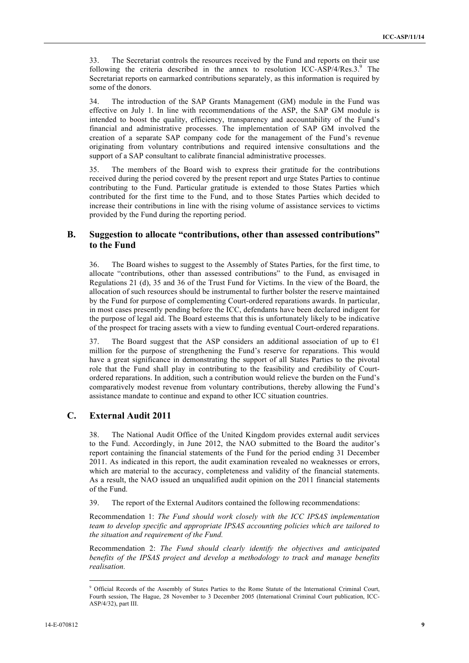33. The Secretariat controls the resources received by the Fund and reports on their use following the criteria described in the annex to resolution ICC-ASP/4/Res.3. $^{9}$  The Secretariat reports on earmarked contributions separately, as this information is required by some of the donors.

34. The introduction of the SAP Grants Management (GM) module in the Fund was effective on July 1. In line with recommendations of the ASP, the SAP GM module is intended to boost the quality, efficiency, transparency and accountability of the Fund's financial and administrative processes. The implementation of SAP GM involved the creation of a separate SAP company code for the management of the Fund's revenue originating from voluntary contributions and required intensive consultations and the support of a SAP consultant to calibrate financial administrative processes.

35. The members of the Board wish to express their gratitude for the contributions received during the period covered by the present report and urge States Parties to continue contributing to the Fund. Particular gratitude is extended to those States Parties which contributed for the first time to the Fund, and to those States Parties which decided to increase their contributions in line with the rising volume of assistance services to victims provided by the Fund during the reporting period.

### **B. Suggestion to allocate "contributions, other than assessed contributions" to the Fund**

36. The Board wishes to suggest to the Assembly of States Parties, for the first time, to allocate "contributions, other than assessed contributions" to the Fund, as envisaged in Regulations 21 (d), 35 and 36 of the Trust Fund for Victims. In the view of the Board, the allocation of such resources should be instrumental to further bolster the reserve maintained by the Fund for purpose of complementing Court-ordered reparations awards. In particular, in most cases presently pending before the ICC, defendants have been declared indigent for the purpose of legal aid. The Board esteems that this is unfortunately likely to be indicative of the prospect for tracing assets with a view to funding eventual Court-ordered reparations.

37. The Board suggest that the ASP considers an additional association of up to  $\epsilon$ 1 million for the purpose of strengthening the Fund's reserve for reparations. This would have a great significance in demonstrating the support of all States Parties to the pivotal role that the Fund shall play in contributing to the feasibility and credibility of Courtordered reparations. In addition, such a contribution would relieve the burden on the Fund's comparatively modest revenue from voluntary contributions, thereby allowing the Fund's assistance mandate to continue and expand to other ICC situation countries.

## **C. External Audit 2011**

38. The National Audit Office of the United Kingdom provides external audit services to the Fund. Accordingly, in June 2012, the NAO submitted to the Board the auditor's report containing the financial statements of the Fund for the period ending 31 December 2011. As indicated in this report, the audit examination revealed no weaknesses or errors, which are material to the accuracy, completeness and validity of the financial statements. As a result, the NAO issued an unqualified audit opinion on the 2011 financial statements of the Fund.

39. The report of the External Auditors contained the following recommendations:

Recommendation 1: *The Fund should work closely with the ICC IPSAS implementation team to develop specific and appropriate IPSAS accounting policies which are tailored to the situation and requirement of the Fund.* 

Recommendation 2: *The Fund should clearly identify the objectives and anticipated benefits of the IPSAS project and develop a methodology to track and manage benefits realisation.*

 $\frac{1}{9}$ <sup>9</sup> Official Records of the Assembly of States Parties to the Rome Statute of the International Criminal Court, Fourth session, The Hague, 28 November to 3 December 2005 (International Criminal Court publication, ICC-ASP/4/32), part III.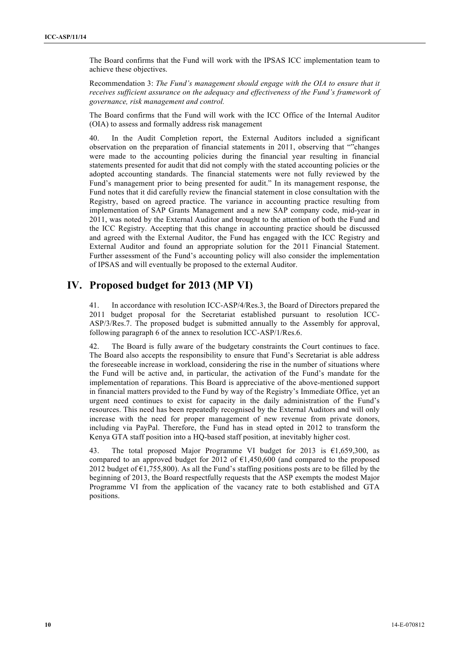The Board confirms that the Fund will work with the IPSAS ICC implementation team to achieve these objectives.

Recommendation 3: *The Fund's management should engage with the OIA to ensure that it receives sufficient assurance on the adequacy and effectiveness of the Fund's framework of governance, risk management and control.*

The Board confirms that the Fund will work with the ICC Office of the Internal Auditor (OIA) to assess and formally address risk management

40. In the Audit Completion report, the External Auditors included a significant observation on the preparation of financial statements in 2011, observing that ""changes were made to the accounting policies during the financial year resulting in financial statements presented for audit that did not comply with the stated accounting policies or the adopted accounting standards. The financial statements were not fully reviewed by the Fund's management prior to being presented for audit." In its management response, the Fund notes that it did carefully review the financial statement in close consultation with the Registry, based on agreed practice. The variance in accounting practice resulting from implementation of SAP Grants Management and a new SAP company code, mid-year in 2011, was noted by the External Auditor and brought to the attention of both the Fund and the ICC Registry. Accepting that this change in accounting practice should be discussed and agreed with the External Auditor, the Fund has engaged with the ICC Registry and External Auditor and found an appropriate solution for the 2011 Financial Statement. Further assessment of the Fund's accounting policy will also consider the implementation of IPSAS and will eventually be proposed to the external Auditor.

# **IV. Proposed budget for 2013 (MP VI)**

41. In accordance with resolution ICC-ASP/4/Res.3, the Board of Directors prepared the 2011 budget proposal for the Secretariat established pursuant to resolution ICC-ASP/3/Res.7. The proposed budget is submitted annually to the Assembly for approval, following paragraph 6 of the annex to resolution ICC-ASP/1/Res.6.

42. The Board is fully aware of the budgetary constraints the Court continues to face. The Board also accepts the responsibility to ensure that Fund's Secretariat is able address the foreseeable increase in workload, considering the rise in the number of situations where the Fund will be active and, in particular, the activation of the Fund's mandate for the implementation of reparations. This Board is appreciative of the above-mentioned support in financial matters provided to the Fund by way of the Registry's Immediate Office, yet an urgent need continues to exist for capacity in the daily administration of the Fund's resources. This need has been repeatedly recognised by the External Auditors and will only increase with the need for proper management of new revenue from private donors, including via PayPal. Therefore, the Fund has in stead opted in 2012 to transform the Kenya GTA staff position into a HQ-based staff position, at inevitably higher cost.

43. The total proposed Major Programme VI budget for 2013 is  $61,659,300$ , as compared to an approved budget for 2012 of  $E1,450,600$  (and compared to the proposed 2012 budget of  $\epsilon$ 1,755,800). As all the Fund's staffing positions posts are to be filled by the beginning of 2013, the Board respectfully requests that the ASP exempts the modest Major Programme VI from the application of the vacancy rate to both established and GTA positions.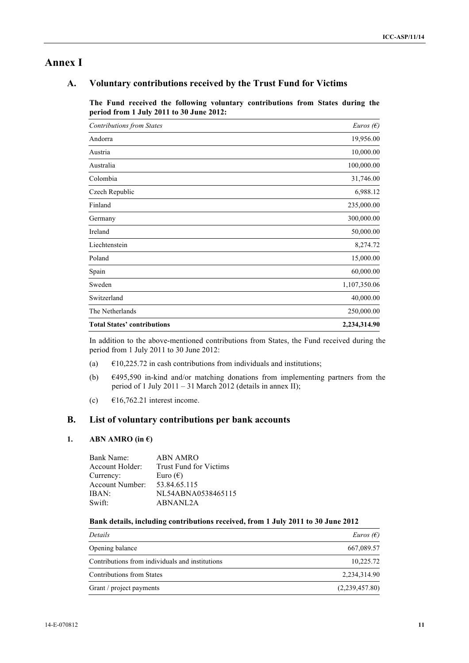## **Annex I**

## **A. Voluntary contributions received by the Trust Fund for Victims**

**The Fund received the following voluntary contributions from States during the period from 1 July 2011 to 30 June 2012:**

| <b>Contributions from States</b>   | <i>Euros</i> ( $\epsilon$ ) |
|------------------------------------|-----------------------------|
| Andorra                            | 19,956.00                   |
| Austria                            | 10,000.00                   |
| Australia                          | 100,000.00                  |
| Colombia                           | 31,746.00                   |
| Czech Republic                     | 6,988.12                    |
| Finland                            | 235,000.00                  |
| Germany                            | 300,000.00                  |
| Ireland                            | 50,000.00                   |
| Liechtenstein                      | 8,274.72                    |
| Poland                             | 15,000.00                   |
| Spain                              | 60,000.00                   |
| Sweden                             | 1,107,350.06                |
| Switzerland                        | 40,000.00                   |
| The Netherlands                    | 250,000.00                  |
| <b>Total States' contributions</b> | 2,234,314.90                |

In addition to the above-mentioned contributions from States, the Fund received during the period from 1 July 2011 to 30 June 2012:

- (a)  $\epsilon$ 10,225.72 in cash contributions from individuals and institutions;
- (b)  $\epsilon$ 495,590 in-kind and/or matching donations from implementing partners from the period of 1 July 2011 – 31 March 2012 (details in annex II);
- (c)  $\epsilon$ 16,762.21 interest income.

## **B. List of voluntary contributions per bank accounts**

### 1. **ABN AMRO** (in  $\epsilon$ )

| NL54ABNA0538465115 |
|--------------------|
|                    |
|                    |

#### **Bank details, including contributions received, from 1 July 2011 to 30 June 2012**

| Details                                         | <i>Euros</i> ( $\epsilon$ ) |
|-------------------------------------------------|-----------------------------|
| Opening balance                                 | 667,089.57                  |
| Contributions from individuals and institutions | 10,225.72                   |
| Contributions from States                       | 2,234,314.90                |
| Grant / project payments                        | (2,239,457.80)              |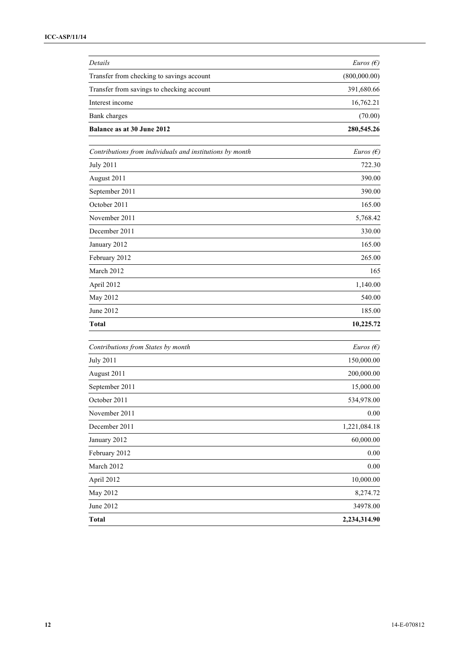| Details                                                  | <i>Euros</i> ( $\epsilon$ ) |
|----------------------------------------------------------|-----------------------------|
| Transfer from checking to savings account                | (800,000.00)                |
| Transfer from savings to checking account                | 391,680.66                  |
| Interest income                                          | 16,762.21                   |
| Bank charges                                             | (70.00)                     |
| Balance as at 30 June 2012                               | 280,545.26                  |
| Contributions from individuals and institutions by month | <i>Euros</i> $(\epsilon)$   |
| <b>July 2011</b>                                         | 722.30                      |
| August 2011                                              | 390.00                      |
| September 2011                                           | 390.00                      |
| October 2011                                             | 165.00                      |
| November 2011                                            | 5,768.42                    |
| December 2011                                            | 330.00                      |
| January 2012                                             | 165.00                      |
| February 2012                                            | 265.00                      |
| March 2012                                               | 165                         |
| April 2012                                               | 1,140.00                    |
| May 2012                                                 | 540.00                      |
| June 2012                                                | 185.00                      |
| <b>Total</b>                                             | 10,225.72                   |
| Contributions from States by month                       | <i>Euros</i> $(\epsilon)$   |
| <b>July 2011</b>                                         | 150,000.00                  |
| August 2011                                              | 200,000.00                  |
| September 2011                                           | 15,000.00                   |
| October 2011                                             | 534,978.00                  |
| November 2011                                            | $0.00\,$                    |
| December 2011                                            | 1,221,084.18                |
| January 2012                                             | 60,000.00                   |
| February 2012                                            | 0.00                        |
| March 2012                                               | 0.00                        |
| April 2012                                               | 10,000.00                   |
| May 2012                                                 | 8,274.72                    |
| June 2012                                                | 34978.00                    |
| Total                                                    | 2,234,314.90                |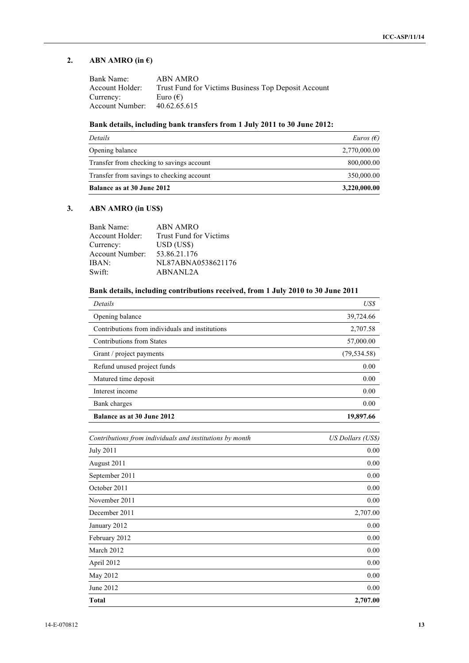## **2. ABN AMRO** (in  $\epsilon$ )

| Bank Name:      | ABN AMRO                                            |
|-----------------|-----------------------------------------------------|
| Account Holder: | Trust Fund for Victims Business Top Deposit Account |
| Currency:       | Euro $(\epsilon)$                                   |
| Account Number: | 40.62.65.615                                        |

### **Bank details, including bank transfers from 1 July 2011 to 30 June 2012:**

| Details                                   | <i>Euros</i> $(E)$ |
|-------------------------------------------|--------------------|
| Opening balance                           | 2,770,000.00       |
| Transfer from checking to savings account | 800,000.00         |
| Transfer from savings to checking account | 350,000.00         |
| <b>Balance as at 30 June 2012</b>         | 3,220,000.00       |

## **3. ABN AMRO (in US\$)**

| Bank Name:      | ABN AMRO                      |
|-----------------|-------------------------------|
| Account Holder: | <b>Trust Fund for Victims</b> |
| Currency:       | USD (US\$)                    |
| Account Number: | 53.86.21.176                  |
| IBAN:           | NL87ABNA0538621176            |
| Swift:          | ABNANL2A                      |

## **Bank details, including contributions received, from 1 July 2010 to 30 June 2011**

| Details                                                  | US\$                     |
|----------------------------------------------------------|--------------------------|
| Opening balance                                          | 39,724.66                |
| Contributions from individuals and institutions          | 2,707.58                 |
| <b>Contributions from States</b>                         | 57,000.00                |
| Grant / project payments                                 | (79, 534.58)             |
| Refund unused project funds                              | 0.00                     |
| Matured time deposit                                     | 0.00                     |
| Interest income                                          | 0.00                     |
| Bank charges                                             | 0.00                     |
| Balance as at 30 June 2012                               | 19,897.66                |
| Contributions from individuals and institutions by month | <b>US Dollars (US\$)</b> |
| <b>July 2011</b>                                         | 0.00                     |
| August 2011                                              | 0.00                     |
| September 2011                                           | 0.00                     |
| October 2011                                             | 0.00                     |
| November 2011                                            | 0.00                     |
| December 2011                                            | 2,707.00                 |
| January 2012                                             | 0.00                     |
| February 2012                                            | 0.00                     |
| March 2012                                               | 0.00                     |
| April 2012                                               | 0.00                     |
| May 2012                                                 | 0.00                     |
| June 2012                                                | 0.00                     |
| Total                                                    | 2,707.00                 |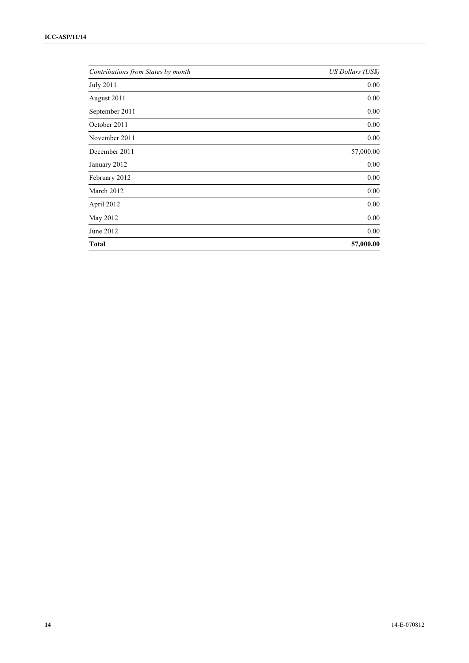| Contributions from States by month | US Dollars (US\$) |
|------------------------------------|-------------------|
| <b>July 2011</b>                   | 0.00              |
| August 2011                        | 0.00              |
| September 2011                     | 0.00              |
| October 2011                       | 0.00              |
| November 2011                      | 0.00              |
| December 2011                      | 57,000.00         |
| January 2012                       | 0.00              |
| February 2012                      | 0.00              |
| March 2012                         | 0.00              |
| April 2012                         | 0.00              |
| May 2012                           | 0.00              |
| June 2012                          | 0.00              |
| <b>Total</b>                       | 57,000.00         |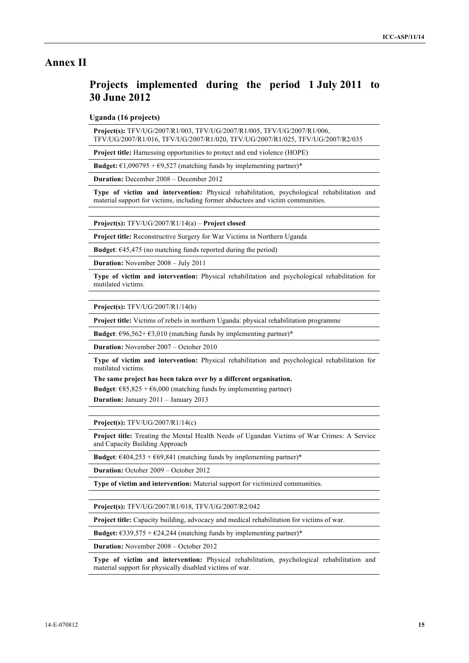## **Annex II**

# **Projects implemented during the period 1 July 2011 to 30 June 2012**

**Uganda (16 projects)**

**Project(s):** TFV/UG/2007/R1/003, TFV/UG/2007/R1/005, TFV/UG/2007/R1/006, TFV/UG/2007/R1/016, TFV/UG/2007/R1/020, TFV/UG/2007/R1/025, TFV/UG/2007/R2/035

**Project title:** Harnessing opportunities to protect and end violence (HOPE)

**Budget:**  $\epsilon$ 1,090795 +  $\epsilon$ 9,527 (matching funds by implementing partner)\*

**Duration:** December 2008 – December 2012

**Type of victim and intervention:** Physical rehabilitation, psychological rehabilitation and material support for victims, including former abductees and victim communities.

**Project(s):** TFV/UG/2007/R1/14(a) – **Project closed**

**Project title:** Reconstructive Surgery for War Victims in Northern Uganda

**Budget**:  $\epsilon$ 45,475 (no matching funds reported during the period)

**Duration:** November 2008 – July 2011

**Type of victim and intervention:** Physical rehabilitation and psychological rehabilitation for mutilated victims.

**Project(s):** TFV/UG/2007/R1/14(b)

**Project title:** Victims of rebels in northern Uganda: physical rehabilitation programme

**Budget**:  $\epsilon$ 96,562+ $\epsilon$ 3,010 (matching funds by implementing partner)\*

**Duration:** November 2007 – October 2010

**Type of victim and intervention:** Physical rehabilitation and psychological rehabilitation for mutilated victims.

**The same project has been taken over by a different organisation.**

**Budget**:  $\epsilon$ 85,825 +  $\epsilon$ 6,000 (matching funds by implementing partner)

**Duration:** January 2011 – January 2013

**Project(s):** TFV/UG/2007/R1/14(c)

**Project title:** Treating the Mental Health Needs of Ugandan Victims of War Crimes: A Service and Capacity Building Approach

**Budget**:  $\epsilon$ 404,253 +  $\epsilon$ 69,841 (matching funds by implementing partner)\*

**Duration:** October 2009 – October 2012

**Type of victim and intervention:** Material support for victimized communities.

**Project(s):** TFV/UG/2007/R1/018, TFV/UG/2007/R2/042

**Project title:** Capacity building, advocacy and medical rehabilitation for victims of war.

**Budget:**  $\epsilon$ 339,575 +  $\epsilon$ 24,244 (matching funds by implementing partner)\*

**Duration:** November 2008 – October 2012

**Type of victim and intervention:** Physical rehabilitation, psychological rehabilitation and material support for physically disabled victims of war.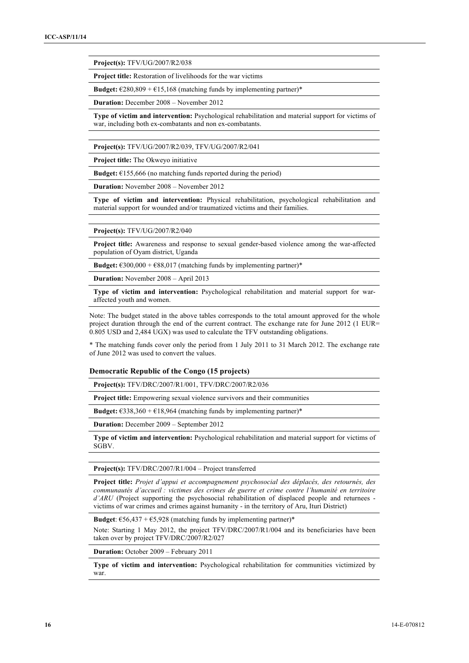**Project(s):** TFV/UG/2007/R2/038

**Project title:** Restoration of livelihoods for the war victims

**Budget:**  $\epsilon$ 280,809 +  $\epsilon$ 15,168 (matching funds by implementing partner)\*

**Duration:** December 2008 – November 2012

**Type of victim and intervention:** Psychological rehabilitation and material support for victims of war, including both ex-combatants and non ex-combatants.

**Project(s):** TFV/UG/2007/R2/039, TFV/UG/2007/R2/041

**Project title:** The Okweyo initiative

**Budget:**  $€155,666$  (no matching funds reported during the period)

**Duration:** November 2008 – November 2012

**Type of victim and intervention:** Physical rehabilitation, psychological rehabilitation and material support for wounded and/or traumatized victims and their families.

**Project(s):** TFV/UG/2007/R2/040

**Project title:** Awareness and response to sexual gender-based violence among the war-affected population of Oyam district, Uganda

**Budget:**  $\epsilon$ 300,000 +  $\epsilon$ 88,017 (matching funds by implementing partner)\*

**Duration:** November 2008 – April 2013

**Type of victim and intervention:** Psychological rehabilitation and material support for waraffected youth and women.

Note: The budget stated in the above tables corresponds to the total amount approved for the whole project duration through the end of the current contract. The exchange rate for June 2012 (1 EUR= 0.805 USD and 2,484 UGX) was used to calculate the TFV outstanding obligations.

\* The matching funds cover only the period from 1 July 2011 to 31 March 2012. The exchange rate of June 2012 was used to convert the values.

#### **Democratic Republic of the Congo (15 projects)**

**Project(s):** TFV/DRC/2007/R1/001, TFV/DRC/2007/R2/036

**Project title:** Empowering sexual violence survivors and their communities

**Budget:**  $\epsilon$ 338,360 +  $\epsilon$ 18,964 (matching funds by implementing partner)\*

**Duration:** December 2009 – September 2012

**Type of victim and intervention:** Psychological rehabilitation and material support for victims of SGBV.

**Project(s):** TFV/DRC/2007/R1/004 – Project transferred

**Project title:** *Projet d'appui et accompagnement psychosocial des déplacés, des retournés, des communautés d'accueil : victimes des crimes de guerre et crime contre l'humanité en territoire d'ARU* (Project supporting the psychosocial rehabilitation of displaced people and returnees victims of war crimes and crimes against humanity - in the territory of Aru, Ituri District)

**Budget**:  $\epsilon$ 56,437 +  $\epsilon$ 5,928 (matching funds by implementing partner)\*

Note: Starting 1 May 2012, the project TFV/DRC/2007/R1/004 and its beneficiaries have been taken over by project TFV/DRC/2007/R2/027

**Duration:** October 2009 – February 2011

**Type of victim and intervention:** Psychological rehabilitation for communities victimized by war.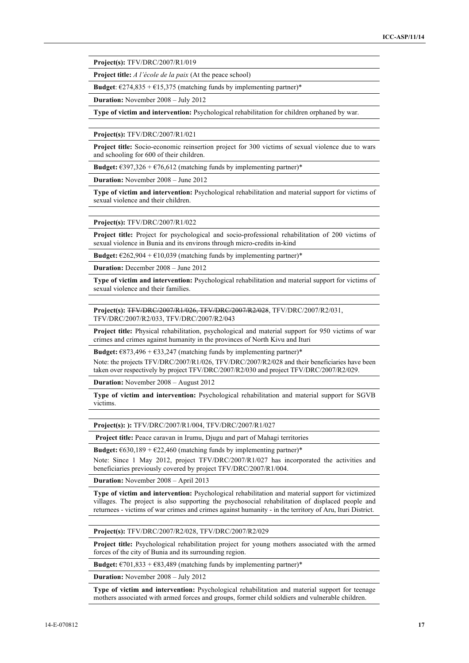**Project(s):** TFV/DRC/2007/R1/019

**Project title:** *A l'école de la paix* (At the peace school)

**Budget**:  $\epsilon$ 274,835 +  $\epsilon$ 15,375 (matching funds by implementing partner)\*

**Duration:** November 2008 – July 2012

**Type of victim and intervention:** Psychological rehabilitation for children orphaned by war.

**Project(s):** TFV/DRC/2007/R1/021

**Project title:** Socio-economic reinsertion project for 300 victims of sexual violence due to wars and schooling for 600 of their children.

**Budget:**  $\epsilon$ 397,326 +  $\epsilon$ 76,612 (matching funds by implementing partner)\*

**Duration:** November 2008 – June 2012

**Type of victim and intervention:** Psychological rehabilitation and material support for victims of sexual violence and their children.

**Project(s):** TFV/DRC/2007/R1/022

**Project title:** Project for psychological and socio-professional rehabilitation of 200 victims of sexual violence in Bunia and its environs through micro-credits in-kind

**Budget:**  $\epsilon$ 262,904 +  $\epsilon$ 10,039 (matching funds by implementing partner)\*

**Duration:** December 2008 – June 2012

**Type of victim and intervention:** Psychological rehabilitation and material support for victims of sexual violence and their families.

**Project(s):** TFV/DRC/2007/R1/026, TFV/DRC/2007/R2/028, TFV/DRC/2007/R2/031, TFV/DRC/2007/R2/033, TFV/DRC/2007/R2/043

**Project title:** Physical rehabilitation, psychological and material support for 950 victims of war crimes and crimes against humanity in the provinces of North Kivu and Ituri

**Budget:**  $\epsilon$ 873,496 +  $\epsilon$ 33,247 (matching funds by implementing partner)\*

Note: the projects TFV/DRC/2007/R1/026, TFV/DRC/2007/R2/028 and their beneficiaries have been taken over respectively by project TFV/DRC/2007/R2/030 and project TFV/DRC/2007/R2/029.

**Duration:** November 2008 – August 2012

**Type of victim and intervention:** Psychological rehabilitation and material support for SGVB victims.

**Project(s): ):** TFV/DRC/2007/R1/004, TFV/DRC/2007/R1/027

 **Project title:** Peace caravan in Irumu, Djugu and part of Mahagi territories

**Budget:**  $\epsilon$ 630,189 +  $\epsilon$ 22,460 (matching funds by implementing partner)\*

Note: Since 1 May 2012, project TFV/DRC/2007/R1/027 has incorporated the activities and beneficiaries previously covered by project TFV/DRC/2007/R1/004.

**Duration:** November 2008 – April 2013

**Type of victim and intervention:** Psychological rehabilitation and material support for victimized villages. The project is also supporting the psychosocial rehabilitation of displaced people and returnees - victims of war crimes and crimes against humanity - in the territory of Aru, Ituri District.

**Project(s):** TFV/DRC/2007/R2/028, TFV/DRC/2007/R2/029

**Project title:** Psychological rehabilitation project for young mothers associated with the armed forces of the city of Bunia and its surrounding region.

**Budget:**  $\epsilon$ 701,833 +  $\epsilon$ 83,489 (matching funds by implementing partner)\*

**Duration:** November 2008 – July 2012

**Type of victim and intervention:** Psychological rehabilitation and material support for teenage mothers associated with armed forces and groups, former child soldiers and vulnerable children.